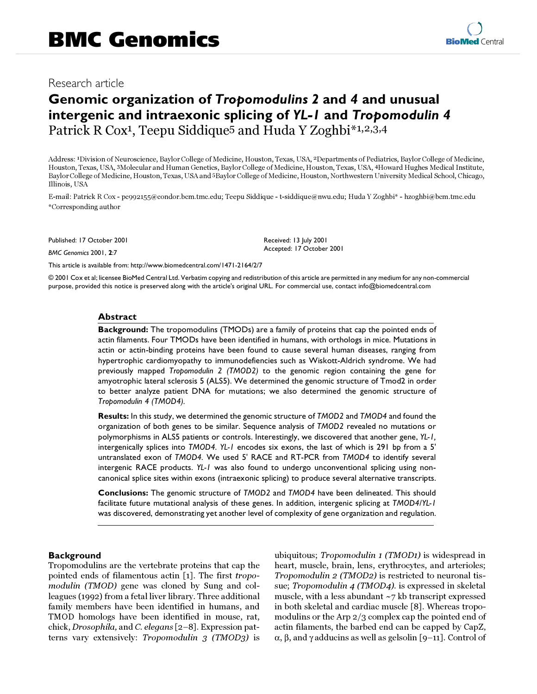# Research article

# **Genomic organization of** *Tropomodulins 2* **and** *4* **and unusual intergenic and intraexonic splicing of** *YL-1* **and** *Tropomodulin 4* Patrick R Cox<sup>1</sup>, Teepu Siddique<sup>5</sup> and Huda Y Zoghbi<sup>\*1,2,3,4</sup>

Address: 1Division of Neuroscience, Baylor College of Medicine, Houston, Texas, USA, 2Departments of Pediatrics, Baylor College of Medicine, Houston, Texas, USA, 3Molecular and Human Genetics, Baylor College of Medicine, Houston, Texas, USA, 4Howard Hughes Medical Institute, Baylor College of Medicine, Houston, Texas, USA and 5Baylor College of Medicine, Houston, Northwestern University Medical School, Chicago, Illinois, USA

E-mail: Patrick R Cox - pc992155@condor.bcm.tmc.edu; Teepu Siddique - t-siddique@nwu.edu; Huda Y Zoghbi\* - hzoghbi@bcm.tmc.edu \*Corresponding author

Published: 17 October 2001

*BMC Genomics* 2001, **2**:7

[This article is available from: http://www.biomedcentral.com/1471-2164/2/7](http://www.biomedcentral.com/1471-2164/2/7)

© 2001 Cox et al; licensee BioMed Central Ltd. Verbatim copying and redistribution of this article are permitted in any medium for any non-commercial purpose, provided this notice is preserved along with the article's original URL. For commercial use, contact info@biomedcentral.com

### **Abstract**

**Background:** The tropomodulins (TMODs) are a family of proteins that cap the pointed ends of actin filaments. Four TMODs have been identified in humans, with orthologs in mice. Mutations in actin or actin-binding proteins have been found to cause several human diseases, ranging from hypertrophic cardiomyopathy to immunodefiencies such as Wiskott-Aldrich syndrome. We had previously mapped *Tropomodulin 2 (TMOD2)* to the genomic region containing the gene for amyotrophic lateral sclerosis 5 (ALS5). We determined the genomic structure of Tmod2 in order to better analyze patient DNA for mutations; we also determined the genomic structure of *Tropomodulin 4 (TMOD4).*

**Results:** In this study, we determined the genomic structure of *TMOD2* and *TMOD4* and found the organization of both genes to be similar. Sequence analysis of *TMOD2* revealed no mutations or polymorphisms in ALS5 patients or controls. Interestingly, we discovered that another gene, *YL-1,* intergenically splices into *TMOD4. YL-1* encodes six exons, the last of which is 291 bp from a 5' untranslated exon of *TMOD4.* We used 5' RACE and RT-PCR from *TMOD4* to identify several intergenic RACE products. *YL-1* was also found to undergo unconventional splicing using noncanonical splice sites within exons (intraexonic splicing) to produce several alternative transcripts.

**Conclusions:** The genomic structure of *TMOD2* and *TMOD4* have been delineated. This should facilitate future mutational analysis of these genes. In addition, intergenic splicing at *TMOD4/YL-1* was discovered, demonstrating yet another level of complexity of gene organization and regulation.

# **Background**

Tropomodulins are the vertebrate proteins that cap the pointed ends of filamentous actin [\[1](#page-8-0)]. The first tropomodulin (TMOD) gene was cloned by Sung and colleagues (1992) from a fetal liver library. Three additional family members have been identified in humans, and TMOD homologs have been identified in mouse, rat, chick, Drosophila, and C. elegans [\[2–](#page-8-1)[8\]](#page-8-2). Expression patterns vary extensively: Tropomodulin 3 (TMOD3) is

ubiquitous; Tropomodulin 1 (TMOD1) is widespread in heart, muscle, brain, lens, erythrocytes, and arterioles; Tropomodulin 2 (TMOD2) is restricted to neuronal tissue; Tropomodulin 4 (TMOD4). is expressed in skeletal muscle, with a less abundant ~7 kb transcript expressed in both skeletal and cardiac muscle [[8\]](#page-8-2). Whereas tropomodulins or the Arp 2/3 complex cap the pointed end of actin filaments, the barbed end can be capped by CapZ, α, β, and γ adducins as well as gelsolin [[9](#page-8-3)–[11](#page-8-4)]. Control of

Received: 13 July 2001 Accepted: 17 October 2001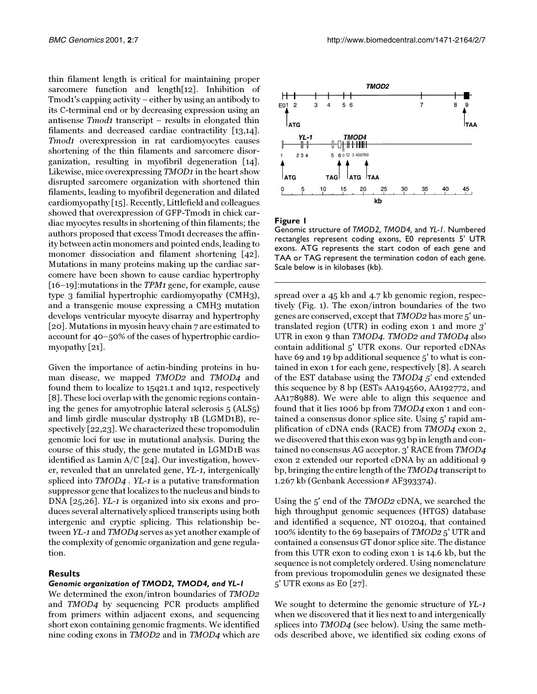thin filament length is critical for maintaining proper sarcomere function and length[\[12\]](#page-8-5). Inhibition of Tmod1's capping activity – either by using an antibody to its C-terminal end or by decreasing expression using an antisense Tmod1 transcript – results in elongated thin filaments and decreased cardiac contractility [\[13](#page-8-6)[,14\]](#page-8-7). Tmod1 overexpression in rat cardiomyocytes causes shortening of the thin filaments and sarcomere disorganization, resulting in myofibril degeneration [\[14\]](#page-8-7). Likewise, mice overexpressing TMOD1 in the heart show disrupted sarcomere organization with shortened thin filaments, leading to myofibril degeneration and dilated cardiomyopathy [[15\]](#page-8-8). Recently, Littlefield and colleagues showed that overexpression of GFP-Tmod1 in chick cardiac myocytes results in shortening of thin filaments; the authors proposed that excess Tmod1 decreases the affinity between actin monomers and pointed ends, leading to monomer dissociation and filament shortening [[42\]](#page-9-0). Mutations in many proteins making up the cardiac sarcomere have been shown to cause cardiac hypertrophy [[16](#page-8-9)–[19](#page-8-10)]:mutations in the TPM1 gene, for example, cause type 3 familial hypertrophic cardiomyopathy (CMH3), and a transgenic mouse expressing a CMH3 mutation develops ventricular myocyte disarray and hypertrophy [[20](#page-8-11)]. Mutations in myosin heavy chain 7 are estimated to account for 40–50% of the cases of hypertrophic cardiomyopathy [\[21\]](#page-8-12).

Given the importance of actin-binding proteins in human disease, we mapped TMOD2 and TMOD4 and found them to localize to 15q21.1 and 1q12, respectively [[8\]](#page-8-2). These loci overlap with the genomic regions containing the genes for amyotrophic lateral sclerosis 5 (ALS5) and limb girdle muscular dystrophy 1B (LGMD1B), respectively [[22](#page-8-13)[,23](#page-9-1)]. We characterized these tropomodulin genomic loci for use in mutational analysis. During the course of this study, the gene mutated in LGMD1B was identified as Lamin  $A/C$  [[24\]](#page-9-2). Our investigation, however, revealed that an unrelated gene, YL-1, intergenically spliced into TMOD4 . YL-1 is a putative transformation suppressor gene that localizes to the nucleus and binds to DNA [\[25](#page-9-3)[,26](#page-9-4)]. YL-1 is organized into six exons and produces several alternatively spliced transcripts using both intergenic and cryptic splicing. This relationship between YL-1 and TMOD4 serves as yet another example of the complexity of genomic organization and gene regulation.

# **Results**

# *Genomic organization of TMOD2, TMOD4, and YL-1*

<span id="page-1-1"></span>We determined the exon/intron boundaries of TMOD2 and TMOD4 by sequencing PCR products amplified from primers within adjacent exons, and sequencing short exon containing genomic fragments. We identified nine coding exons in TMOD2 and in TMOD4 which are



<span id="page-1-0"></span>**Figure 1**

Genomic structure of *TMOD2, TMOD4,* and *YL-1.* Numbered rectangles represent coding exons, E0 represents 5' UTR exons. ATG represents the start codon of each gene and TAA or TAG represent the termination codon of each gene. Scale below is in kilobases (kb).

spread over a 45 kb and 4.7 kb genomic region, respectively (Fig. [1\)](#page-1-0). The exon/intron boundaries of the two genes are conserved, except that TMOD2 has more 5' untranslated region (UTR) in coding exon 1 and more 3' UTR in exon 9 than TMOD4. TMOD2 and TMOD4 also contain additional 5' UTR exons. Our reported cDNAs have 69 and 19 bp additional sequence 5' to what is contained in exon 1 for each gene, respectively [[8\]](#page-8-2). A search of the EST database using the TMOD4 5' end extended this sequence by 8 bp (ESTs AA194560, AA192772, and AA178988). We were able to align this sequence and found that it lies 1006 bp from TMOD4 exon 1 and contained a consensus donor splice site. Using 5' rapid amplification of cDNA ends (RACE) from TMOD4 exon 2, we discovered that this exon was 93 bp in length and contained no consensus AG acceptor. 3' RACE from TMOD4 exon 2 extended our reported cDNA by an additional 9 bp, bringing the entire length of the TMOD4 transcript to 1.267 kb (Genbank Accession# AF393374).

<span id="page-1-2"></span>Using the 5' end of the TMOD2 cDNA, we searched the high throughput genomic sequences (HTGS) database and identified a sequence, NT 010204, that contained 100% identity to the 69 basepairs of TMOD2 5' UTR and contained a consensus GT donor splice site. The distance from this UTR exon to coding exon 1 is 14.6 kb, but the sequence is not completely ordered. Using nomenclature from previous tropomodulin genes we designated these 5' UTR exons as E0 [\[27\]](#page-9-5).

We sought to determine the genomic structure of YL-1 when we discovered that it lies next to and intergenically splices into TMOD4 (see below). Using the same methods described above, we identified six coding exons of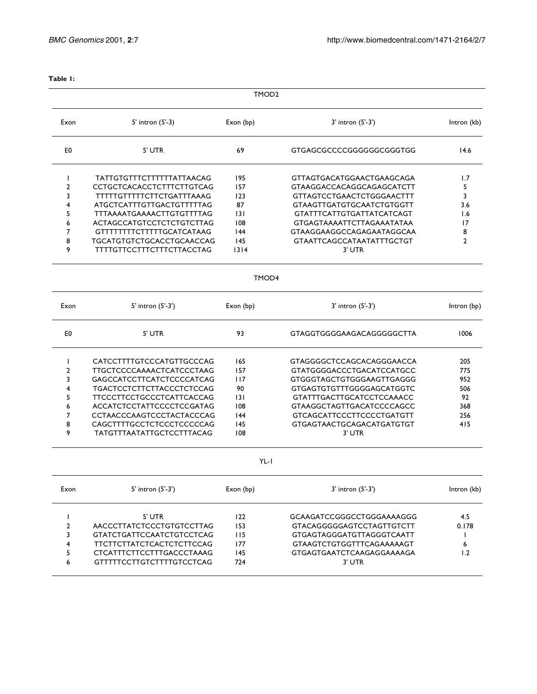| $\sim$<br>$\sim$ | × |
|------------------|---|
|------------------|---|

|                | TMOD <sub>2</sub>                 |           |                                  |                |  |  |  |
|----------------|-----------------------------------|-----------|----------------------------------|----------------|--|--|--|
| Exon           | 5' intron (5'-3)                  | Exon (bp) | 3' intron (5'-3')                | Intron (kb)    |  |  |  |
| E0             | 5' UTR                            | 69        | GTGAGCGCCCCGGGGGGCGGGTGG         | 14.6           |  |  |  |
| $\mathbf{I}$   | <b>TATTGTGTTTCTTTTTTTATTAACAG</b> | 195       | GTTAGTGACATGGAACTGAAGCAGA        | 1.7            |  |  |  |
| $\overline{2}$ | CCTGCTCACACCTCTTTCTTGTCAG         | 157       | GTAAGGACCACAGGCAGAGCATCTT        | 5              |  |  |  |
| 3              | <b>TTTTTGTTTTTCTTCTGATTTAAAG</b>  | 123       | <b>GTTAGTCCTGAACTCTGGGAACTTT</b> | 3              |  |  |  |
| 4              | ATGCTCATTTGTTGACTGTTTTTAG         | 87        | <b>GTAAGTTGATGTGCAATCTGTGGTT</b> | 3.6            |  |  |  |
| 5              | TTTAAAATGAAAACTTGTGTTTTAG         | 3         | <b>GTATTTCATTGTGATTATCATCAGT</b> | 1.6            |  |  |  |
| 6              | ACTAGCCATGTCCTCTCTGTCTTAG         | 108       | <b>GTGAGTAAAATTCTTAGAAATATAA</b> | 17             |  |  |  |
| 7              | <b>GTTTTTTTTCTTTTTGCATCATAAG</b>  | 144       | GTAAGGAAGGCCAGAGAATAGGCAA        | 8              |  |  |  |
| 8              | TGCATGTGTCTGCACCTGCAACCAG         | 145       | <b>GTAATTCAGCCATAATATTTGCTGT</b> | $\overline{2}$ |  |  |  |
| 9              | <b>TTTTGTTCCTTTCTTTCTTACCTAG</b>  | 1314      | 3' UTR                           |                |  |  |  |
|                |                                   | TMOD4     |                                  |                |  |  |  |
| Exon           | 5' intron (5'-3')                 | Exon (bp) | 3' intron (5'-3')                | Intron (bp)    |  |  |  |
| E0             | 5' UTR                            | 93        | <b>GTAGGTGGGGAAGACAGGGGGCTTA</b> | 1006           |  |  |  |
| $\mathbf{I}$   | CATCCTTTTGTCCCATGTTGCCCAG         | 165       | GTAGGGGCTCCAGCACAGGGAACCA        | 205            |  |  |  |
| $\overline{2}$ | TTGCTCCCCAAAACTCATCCCTAAG         | 157       | <b>GTATGGGGACCCTGACATCCATGCC</b> | 775            |  |  |  |
| 3              | GAGCCATCCTTCATCTCCCCATCAG         | 117       | GTGGGTAGCTGTGGGAAGTTGAGGG        | 952            |  |  |  |
| 4              | TGACTCCTCTTCTTACCCTCTCCAG         | 90        | <b>GTGAGTGTGTTTGGGGAGCATGGTC</b> | 506            |  |  |  |
| 5              | <b>TTCCCTTCCTGCCCTCATTCACCAG</b>  | 3         | <b>GTATTTGACTTGCATCCTCCAAACC</b> | 92             |  |  |  |
| 6              | ACCATCTCCTATTCCCCTCCGATAG         | 108       | <b>GTAAGGCTAGTTGACATCCCCAGCC</b> | 368            |  |  |  |
| 7              | CCTAACCCAAGTCCCTACTACCCAG         | 144       | <b>GTCAGCATTCCCTTCCCCTGATGTT</b> | 256            |  |  |  |
| 8              | CAGCTTTTGCCTCTCCCTCCCCCAG         | 145       | GTGAGTAACTGCAGACATGATGTGT        | 415            |  |  |  |
| 9              | <b>TATGTTTAATATTGCTCCTTTACAG</b>  | 108       | 3' UTR                           |                |  |  |  |
|                |                                   | $YL-I$    |                                  |                |  |  |  |
| Exon           | 5' intron (5'-3')                 | Exon (bp) | 3' intron (5'-3')                | Intron (kb)    |  |  |  |
| L              | 5' UTR                            | 122       | GCAAGATCCGGGCCTGGGAAAAGGG        | 4.5            |  |  |  |
| $\overline{2}$ | AACCCTTATCTCCCTGTGTCCTTAG         | 153       | <b>GTACAGGGGGAGTCCTAGTTGTCTT</b> | 0.178          |  |  |  |
| 3              | <b>GTATCTGATTCCAATCTGTCCTCAG</b>  | 115       | GTGAGTAGGGATGTTAGGGTCAATT        | L              |  |  |  |
| 4              | TTCTTCTTATCTCACTCTCTTCCAG         | 177       | <b>GTAAGTCTGTGGTTTCAGAAAAAGT</b> | 6              |  |  |  |
| 5              | CTCATTTCTTCCTTTGACCCTAAAG         | 145       | GTGAGTGAATCTCAAGAGGAAAAGA        | 1.2            |  |  |  |
| 6              | <b>GTTTTTCCTTGTCTTTTGTCCTCAG</b>  | 724       | 3' UTR                           |                |  |  |  |
|                |                                   |           |                                  |                |  |  |  |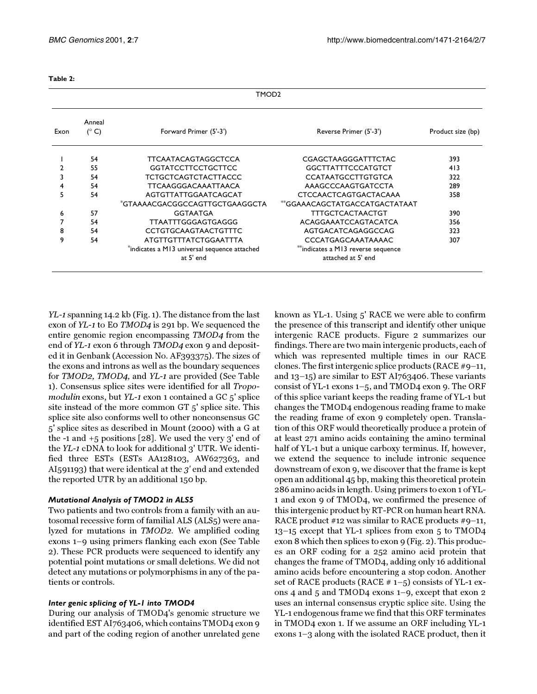| $\sim$<br>$\sim$ | . .<br>۰. | × |
|------------------|-----------|---|
|------------------|-----------|---|

| Exon | Anneal<br>$(^{\circ}C)$ | Forward Primer (5'-3')                                    | Reverse Primer (5'-3')                                   | Product size (bp) |
|------|-------------------------|-----------------------------------------------------------|----------------------------------------------------------|-------------------|
|      | 54                      | <b>TTCAATACAGTAGGCTCCA</b>                                | CGAGCTAAGGGATTTCTAC                                      | 393               |
|      | 55                      | <b>GGTATCCTTCCTGCTTCC</b>                                 | <b>GGCTTATTTCCCATGTCT</b>                                | 413               |
|      | 54                      | <b>TCTGCTCAGTCTACTTACCC</b>                               | <b>CCATAATGCCTTGTGTCA</b>                                | 322               |
| 4    | 54                      | <b>TTCAAGGGACAAATTAACA</b>                                | AAAGCCCAAGTGATCCTA                                       | 289               |
|      | 54                      | AGTGTTATTGGAATCAGCAT                                      | <b>CTCCAACTCAGTGACTACAAA</b>                             | 358               |
|      |                         | *GTAAAACGACGGCCAGTTGCTGAAGGCTA                            | **GGAAACAGCTATGACCATGACTATAAT                            |                   |
| 6    | 57                      | <b>GGTAATGA</b>                                           | <b>TTTGCTCACTAACTGT</b>                                  | 390               |
|      | 54                      | TTAATTTGGGAGTGAGGG                                        | ACAGGAAATCCAGTACATCA                                     | 356               |
| 8    | 54                      | <b>CCTGTGCAAGTAACTGTTTC</b>                               | AGTGACATCAGAGGCCAG                                       | 323               |
| 9    | 54                      | ATGTTGTTTATCTGGAATTTA                                     | CCCATGAGCAAATAAAAC                                       | 307               |
|      |                         | *indicates a M13 universal sequence attached<br>at 5' end | **indicates a M13 reverse sequence<br>attached at 5' end |                   |

YL-1 spanning 14.2 kb (Fig. [1](#page-1-0)). The distance from the last exon of YL-1 to E0 TMOD4 is 291 bp. We sequenced the entire genomic region encompassing TMOD4 from the end of YL-1 exon 6 through TMOD4 exon 9 and deposited it in Genbank (Accession No. AF393375). The sizes of the exons and introns as well as the boundary sequences for TMOD2, TMOD4, and YL-1 are provided (See Table [1](#page-1-1)). Consensus splice sites were identified for all Tropomodulin exons, but YL-1 exon 1 contained a GC 5' splice site instead of the more common GT 5' splice site. This splice site also conforms well to other nonconsensus GC 5' splice sites as described in Mount (2000) with a G at the  $-1$  and  $+5$  positions [\[28](#page-9-6)]. We used the very 3' end of the YL-1 cDNA to look for additional 3' UTR. We identified three ESTs (ESTs AA128103, AW627363, and AI591193) that were identical at the 3' end and extended the reported UTR by an additional 150 bp.

# *Mutational Analysis of TMOD2 in ALS5*

Two patients and two controls from a family with an autosomal recessive form of familial ALS (ALS5) were analyzed for mutations in TMOD2. We amplified coding exons 1–9 using primers flanking each exon (See Table [2](#page-1-2)). These PCR products were sequenced to identify any potential point mutations or small deletions. We did not detect any mutations or polymorphisms in any of the patients or controls.

#### *Inter genic splicing of YL-1 into TMOD4*

During our analysis of TMOD4's genomic structure we identified EST AI763406, which contains TMOD4 exon 9 and part of the coding region of another unrelated gene

known as YL-1. Using 5' RACE we were able to confirm the presence of this transcript and identify other unique intergenic RACE products. Figure [2](#page-4-0) summarizes our findings. There are two main intergenic products, each of which was represented multiple times in our RACE clones. The first intergenic splice products (RACE #9–11, and 13–15) are similar to EST AI763406. These variants consist of YL-1 exons 1–5, and TMOD4 exon 9. The ORF of this splice variant keeps the reading frame of YL-1 but changes the TMOD4 endogenous reading frame to make the reading frame of exon 9 completely open. Translation of this ORF would theoretically produce a protein of at least 271 amino acids containing the amino terminal half of YL-1 but a unique carboxy terminus. If, however, we extend the sequence to include intronic sequence downstream of exon 9, we discover that the frame is kept open an additional 45 bp, making this theoretical protein 286 amino acids in length. Using primers to exon 1 of YL-1 and exon 9 of TMOD4, we confirmed the presence of this intergenic product by RT-PCR on human heart RNA. RACE product #12 was similar to RACE products #9–11, 13–15 except that YL-1 splices from exon 5 to TMOD4 exon 8 which then splices to exon 9 (Fig. [2](#page-4-0)). This produces an ORF coding for a 252 amino acid protein that changes the frame of TMOD4, adding only 16 additional amino acids before encountering a stop codon. Another set of RACE products (RACE  $# 1-5$ ) consists of YL-1 exons 4 and 5 and TMOD4 exons 1–9, except that exon 2 uses an internal consensus cryptic splice site. Using the YL-1 endogenous frame we find that this ORF terminates in TMOD4 exon 1. If we assume an ORF including YL-1 exons 1–3 along with the isolated RACE product, then it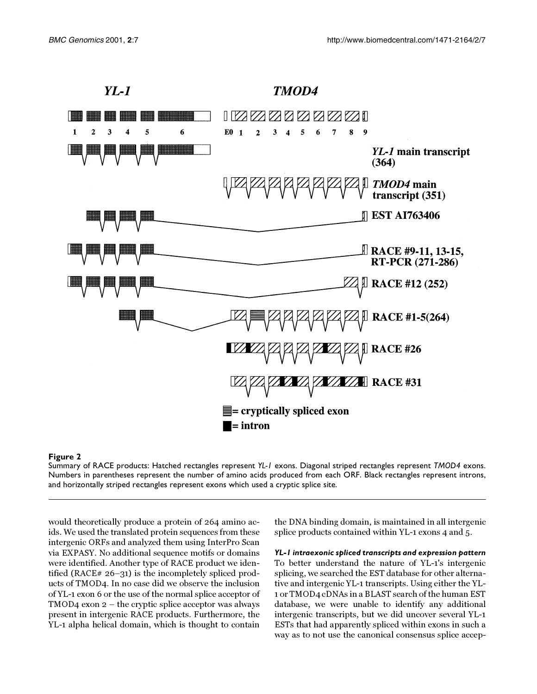

#### <span id="page-4-0"></span>**Figure 2**

Summary of RACE products: Hatched rectangles represent *YL-1* exons. Diagonal striped rectangles represent *TMOD4* exons. Numbers in parentheses represent the number of amino acids produced from each ORF. Black rectangles represent introns, and horizontally striped rectangles represent exons which used a cryptic splice site.

would theoretically produce a protein of 264 amino acids. We used the translated protein sequences from these intergenic ORFs and analyzed them using InterPro Scan via EXPASY. No additional sequence motifs or domains were identified. Another type of RACE product we identified (RACE# 26–31) is the incompletely spliced products of TMOD4. In no case did we observe the inclusion of YL-1 exon 6 or the use of the normal splice acceptor of TMOD4 exon 2 – the cryptic splice acceptor was always present in intergenic RACE products. Furthermore, the YL-1 alpha helical domain, which is thought to contain

the DNA binding domain, is maintained in all intergenic splice products contained within YL-1 exons 4 and 5.

*YL-1 intraexonic spliced transcripts and expression pattern* To better understand the nature of YL-1's intergenic splicing, we searched the EST database for other alternative and intergenic YL-1 transcripts. Using either the YL-1 or TMOD4 cDNAs in a BLAST search of the human EST database, we were unable to identify any additional intergenic transcripts, but we did uncover several YL-1 ESTs that had apparently spliced within exons in such a way as to not use the canonical consensus splice accep-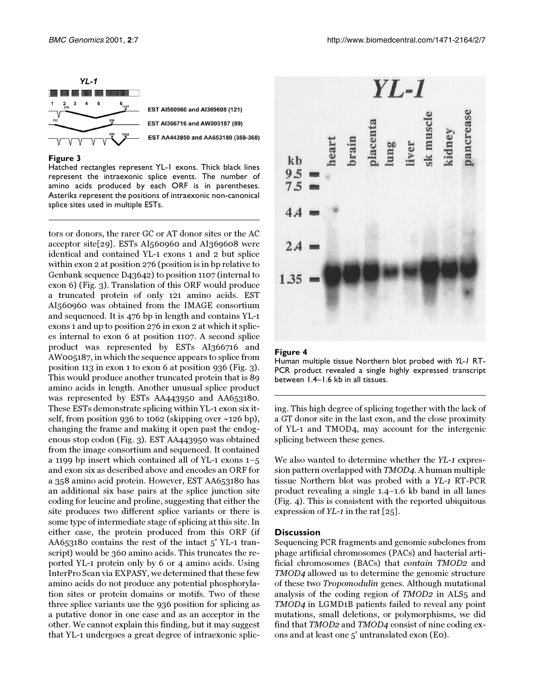

#### <span id="page-5-0"></span>**Figure 3**

Hatched rectangles represent YL-1 exons. Thick black lines represent the intraexonic splice events. The number of amino acids produced by each ORF is in parentheses. Asteriks represent the positions of intraexonic non-canonical splice sites used in multiple ESTs.

tors or donors, the rarer GC or AT donor sites or the AC acceptor site[\[29](#page-9-7)]. ESTs AI560960 and AI369608 were identical and contained YL-1 exons 1 and 2 but splice within exon 2 at position 276 (position is in bp relative to Genbank sequence D43642) to position 1107 (internal to exon 6) (Fig. [3](#page-5-0)). Translation of this ORF would produce a truncated protein of only 121 amino acids. EST AI560960 was obtained from the IMAGE consortium and sequenced. It is 476 bp in length and contains YL-1 exons 1 and up to position 276 in exon 2 at which it splices internal to exon 6 at position 1107. A second splice product was represented by ESTs AI366716 and AW005187, in which the sequence appears to splice from position 113 in exon 1 to exon 6 at position 936 (Fig. [3\)](#page-5-0). This would produce another truncated protein that is 89 amino acids in length. Another unusual splice product was represented by ESTs AA443950 and AA653180. These ESTs demonstrate splicing within YL-1 exon six itself, from position 936 to 1062 (skipping over ~126 bp), changing the frame and making it open past the endogenous stop codon (Fig. [3](#page-5-0)). EST AA443950 was obtained from the image consortium and sequenced. It contained a 1199 bp insert which contained all of YL-1 exons 1–5 and exon six as described above and encodes an ORF for a 358 amino acid protein. However, EST AA653180 has an additional six base pairs at the splice junction site coding for leucine and proline, suggesting that either the site produces two different splice variants or there is some type of intermediate stage of splicing at this site. In either case, the protein produced from this ORF (if AA653180 contains the rest of the intact 5' YL-1 transcript) would be 360 amino acids. This truncates the reported YL-1 protein only by 6 or 4 amino acids. Using InterPro Scan via EXPASY, we determined that these few amino acids do not produce any potential phosphorylation sites or protein domains or motifs. Two of these three splice variants use the 936 position for splicing as a putative donor in one case and as an acceptor in the other. We cannot explain this finding, but it may suggest that YL-1 undergoes a great degree of intraexonic splic-



#### <span id="page-5-1"></span>**Figure 4**



ing. This high degree of splicing together with the lack of a GT donor site in the last exon, and the close proximity of YL-1 and TMOD4, may account for the intergenic splicing between these genes.

We also wanted to determine whether the YL-1 expression pattern overlapped with TMOD4. A human multiple tissue Northern blot was probed with a YL-1 RT-PCR product revealing a single 1.4–1.6 kb band in all lanes (Fig. [4\)](#page-5-1). This is consistent with the reported ubiquitous expression of  $YL-1$  in the rat [[25](#page-9-3)].

#### **Discussion**

Sequencing PCR fragments and genomic subclones from phage artificial chromosomes (PACs) and bacterial artificial chromosomes (BACs) that contain TMOD2 and TMOD4 allowed us to determine the genomic structure of these two Tropomodulin genes. Although mutational analysis of the coding region of TMOD2 in ALS5 and TMOD4 in LGMD1B patients failed to reveal any point mutations, small deletions, or polymorphisms, we did find that TMOD2 and TMOD4 consist of nine coding exons and at least one 5' untranslated exon (E0).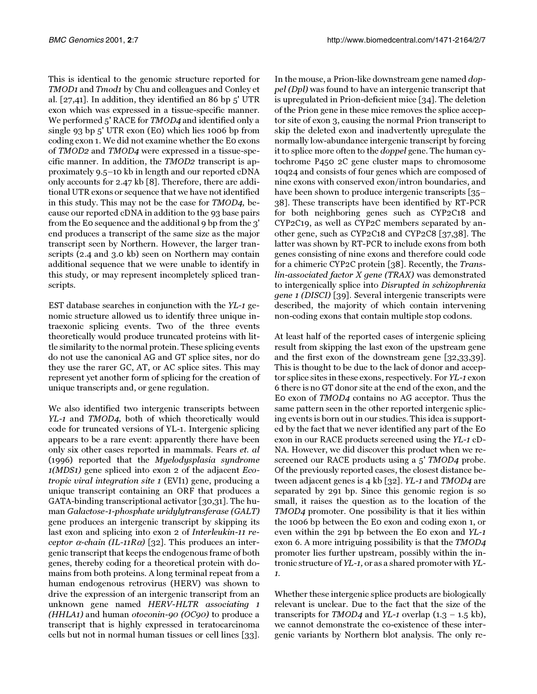This is identical to the genomic structure reported for TMOD1 and Tmod1 by Chu and colleagues and Conley et al. [[27](#page-9-5)[,41\]](#page-9-8). In addition, they identified an 86 bp 5' UTR exon which was expressed in a tissue-specific manner. We performed 5' RACE for TMOD4 and identified only a single 93 bp 5' UTR exon (E0) which lies 1006 bp from coding exon 1. We did not examine whether the E0 exons of TMOD2 and TMOD4 were expressed in a tissue-specific manner. In addition, the TMOD2 transcript is approximately 9.5–10 kb in length and our reported cDNA only accounts for 2.47 kb [\[8\]](#page-8-2). Therefore, there are additional UTR exons or sequence that we have not identified in this study. This may not be the case for TMOD4, because our reported cDNA in addition to the 93 base pairs from the E0 sequence and the additional 9 bp from the 3' end produces a transcript of the same size as the major transcript seen by Northern. However, the larger transcripts (2.4 and 3.0 kb) seen on Northern may contain additional sequence that we were unable to identify in this study, or may represent incompletely spliced transcripts.

EST database searches in conjunction with the YL-1 genomic structure allowed us to identify three unique intraexonic splicing events. Two of the three events theoretically would produce truncated proteins with little similarity to the normal protein. These splicing events do not use the canonical AG and GT splice sites, nor do they use the rarer GC, AT, or AC splice sites. This may represent yet another form of splicing for the creation of unique transcripts and, or gene regulation.

We also identified two intergenic transcripts between YL-1 and TMOD4, both of which theoretically would code for truncated versions of YL-1. Intergenic splicing appears to be a rare event: apparently there have been only six other cases reported in mammals. Fears et. al (1996) reported that the Myelodysplasia syndrome 1(MDS1) gene spliced into exon 2 of the adjacent Ecotropic viral integration site 1 (EVI1) gene, producing a unique transcript containing an ORF that produces a GATA-binding transcriptional activator [\[30](#page-9-9)[,31](#page-9-10)]. The human Galactose-1-phosphate uridylytransferase (GALT) gene produces an intergenic transcript by skipping its last exon and splicing into exon 2 of Interleukin-11 receptor  $\alpha$ -chain (IL-11R $\alpha$ ) [[32](#page-9-11)]. This produces an intergenic transcript that keeps the endogenous frame of both genes, thereby coding for a theoretical protein with domains from both proteins. A long terminal repeat from a human endogenous retrovirus (HERV) was shown to drive the expression of an intergenic transcript from an unknown gene named HERV-HLTR associating 1 (HHLA1) and human otoconin-90 (OC90) to produce a transcript that is highly expressed in teratocarcinoma cells but not in normal human tissues or cell lines [\[33\]](#page-9-12).

In the mouse, a Prion-like downstream gene named doppel (Dpl) was found to have an intergenic transcript that is upregulated in Prion-deficient mice [[34\]](#page-9-13). The deletion of the Prion gene in these mice removes the splice acceptor site of exon 3, causing the normal Prion transcript to skip the deleted exon and inadvertently upregulate the normally low-abundance intergenic transcript by forcing it to splice more often to the doppel gene. The human cytochrome P450 2C gene cluster maps to chromosome 10q24 and consists of four genes which are composed of nine exons with conserved exon/intron boundaries, and have been shown to produce intergenic transcripts [\[35](#page-9-14)[–](#page-9-15) [38](#page-9-15)]. These transcripts have been identified by RT-PCR for both neighboring genes such as CYP2C18 and CYP2C19, as well as CYP2C members separated by another gene, such as CYP2C18 and CYP2C8 [\[37,](#page-9-16)[38](#page-9-15)]. The latter was shown by RT-PCR to include exons from both genes consisting of nine exons and therefore could code for a chimeric CYP2C protein [[38\]](#page-9-15). Recently, the Translin-associated factor X gene (TRAX) was demonstrated to intergenically splice into Disrupted in schizophrenia gene 1 (DISCI) [[39\]](#page-9-17). Several intergenic transcripts were described, the majority of which contain intervening non-coding exons that contain multiple stop codons.

At least half of the reported cases of intergenic splicing result from skipping the last exon of the upstream gene and the first exon of the downstream gene [\[32](#page-9-11)[,33](#page-9-12)[,39\]](#page-9-17). This is thought to be due to the lack of donor and acceptor splice sites in these exons, respectively. For YL-1 exon 6 there is no GT donor site at the end of the exon, and the E0 exon of TMOD4 contains no AG acceptor. Thus the same pattern seen in the other reported intergenic splicing events is born out in our studies. This idea is supported by the fact that we never identified any part of the E0 exon in our RACE products screened using the YL-1 cD-NA. However, we did discover this product when we rescreened our RACE products using a 5' TMOD4 probe. Of the previously reported cases, the closest distance between adjacent genes is 4 kb [\[32\]](#page-9-11). YL-1 and TMOD4 are separated by 291 bp. Since this genomic region is so small, it raises the question as to the location of the TMOD4 promoter. One possibility is that it lies within the 1006 bp between the E0 exon and coding exon 1, or even within the 291 bp between the E0 exon and YL-1 exon 6. A more intriguing possibility is that the TMOD4 promoter lies further upstream, possibly within the intronic structure of YL-1, or as a shared promoter with YL-1.

Whether these intergenic splice products are biologically relevant is unclear. Due to the fact that the size of the transcripts for TMOD4 and YL-1 overlap  $(1.3 - 1.5 \text{ kb})$ , we cannot demonstrate the co-existence of these intergenic variants by Northern blot analysis. The only re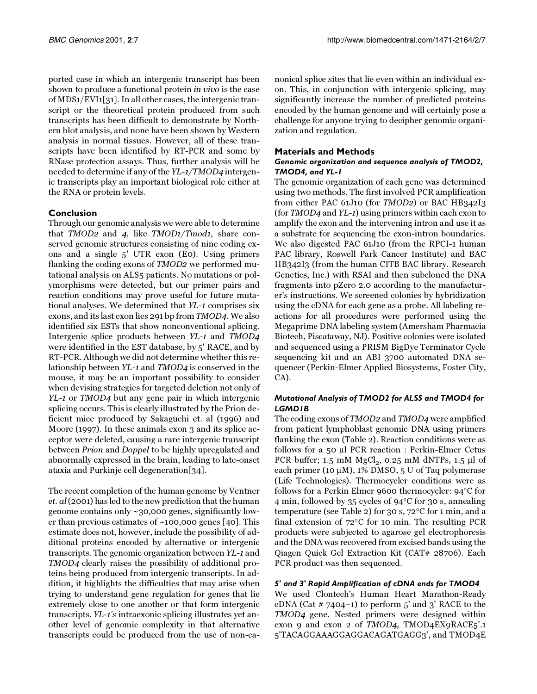ported case in which an intergenic transcript has been shown to produce a functional protein in vivo is the case of MDS1/EVI1[\[31](#page-9-10)]. In all other cases, the intergenic transcript or the theoretical protein produced from such transcripts has been difficult to demonstrate by Northern blot analysis, and none have been shown by Western analysis in normal tissues. However, all of these transcripts have been identified by RT-PCR and some by RNase protection assays. Thus, further analysis will be needed to determine if any of the YL-1/TMOD4 intergenic transcripts play an important biological role either at the RNA or protein levels.

# **Conclusion**

Through our genomic analysis we were able to determine that TMOD2 and 4, like TMOD1/Tmod1, share conserved genomic structures consisting of nine coding exons and a single 5' UTR exon (E0). Using primers flanking the coding exons of TMOD2 we performed mutational analysis on ALS5 patients. No mutations or polymorphisms were detected, but our primer pairs and reaction conditions may prove useful for future mutational analyses. We determined that YL-1 comprises six exons, and its last exon lies 291 bp from TMOD4. We also identified six ESTs that show nonconventional splicing. Intergenic splice products between YL-1 and TMOD4 were identified in the EST database, by 5' RACE, and by RT-PCR. Although we did not determine whether this relationship between YL-1 and TMOD4 is conserved in the mouse, it may be an important possibility to consider when devising strategies for targeted deletion not only of YL-1 or TMOD4 but any gene pair in which intergenic splicing occurs. This is clearly illustrated by the Prion deficient mice produced by Sakaguchi et. al (1996) and Moore (1997). In these animals exon 3 and its splice acceptor were deleted, causing a rare intergenic transcript between Prion and Doppel to be highly upregulated and abnormally expressed in the brain, leading to late-onset ataxia and Purkinje cell degeneration[\[34](#page-9-13)].

The recent completion of the human genome by Ventner et. al (2001) has led to the new prediction that the human genome contains only ~30,000 genes, significantly lower than previous estimates of  $\sim$ 100,000 genes [\[40\]](#page-9-18). This estimate does not, however, include the possibility of additional proteins encoded by alternative or intergenic transcripts. The genomic organization between YL-1 and TMOD4 clearly raises the possibility of additional proteins being produced from intergenic transcripts. In addition, it highlights the difficulties that may arise when trying to understand gene regulation for genes that lie extremely close to one another or that form intergenic transcripts. YL-1's intraexonic splicing illustrates yet another level of genomic complexity in that alternative transcripts could be produced from the use of non-ca-

nonical splice sites that lie even within an individual exon. This, in conjunction with intergenic splicing, may significantly increase the number of predicted proteins encoded by the human genome and will certainly pose a challenge for anyone trying to decipher genomic organization and regulation.

# **Materials and Methods**

# *Genomic organization and sequence analysis of TMOD2, TMOD4, and YL-1*

The genomic organization of each gene was determined using two methods. The first involved PCR amplification from either PAC 61J10 (for TMOD2) or BAC HB342I3 (for TMOD4 and YL-1) using primers within each exon to amplify the exon and the intervening intron and use it as a substrate for sequencing the exon-intron boundaries. We also digested PAC 61J10 (from the RPCI-1 human PAC library, Roswell Park Cancer Institute) and BAC HB342I3 (from the human CITB BAC library. Research Genetics, Inc.) with RSAI and then subcloned the DNA fragments into pZero 2.0 according to the manufacturer's instructions. We screened colonies by hybridization using the cDNA for each gene as a probe. All labeling reactions for all procedures were performed using the Megaprime DNA labeling system (Amersham Pharmacia Biotech, Piscataway, NJ). Positive colonies were isolated and sequenced using a PRISM BigDye Terminator Cycle sequencing kit and an ABI 3700 automated DNA sequencer (Perkin-Elmer Applied Biosystems, Foster City, CA).

# *Mutational Analysis of TMOD2 for ALS5 and TMOD4 for LGMD1B*

The coding exons of TMOD2 and TMOD4 were amplified from patient lymphoblast genomic DNA using primers flanking the exon (Table [2](#page-1-2)). Reaction conditions were as follows for a 50 µl PCR reaction : Perkin-Elmer Cetus PCR buffer;  $1.5 \text{ mM } MgCl_2$ ,  $0.25 \text{ mM } dNTPs$ ,  $1.5 \text{ µl } of$ each primer (10  $\mu$ M), 1% DMSO, 5 U of Taq polymerase (Life Technologies). Thermocycler conditions were as follows for a Perkin Elmer 9600 thermocycler: 94°C for 4 min, followed by 35 cycles of 94°C for 30 s, annealing temperature (see Table [2](#page-1-2)) for 30 s, 72°C for 1 min, and a final extension of 72°C for 10 min. The resulting PCR products were subjected to agarose gel electrophoresis and the DNA was recovered from excised bands using the Qiagen Quick Gel Extraction Kit (CAT# 28706). Each PCR product was then sequenced.

# *5' and 3' Rapid Amplification of cDNA ends for TMOD4*

We used Clontech's Human Heart Marathon-Ready cDNA (Cat  $\#$  7404–1) to perform 5' and 3' RACE to the TMOD4 gene. Nested primers were designed within exon 9 and exon 2 of TMOD4, TMOD4EX9RACE5'.1 5'TACAGGAAAGGAGGACAGATGAGG3', and TMOD4E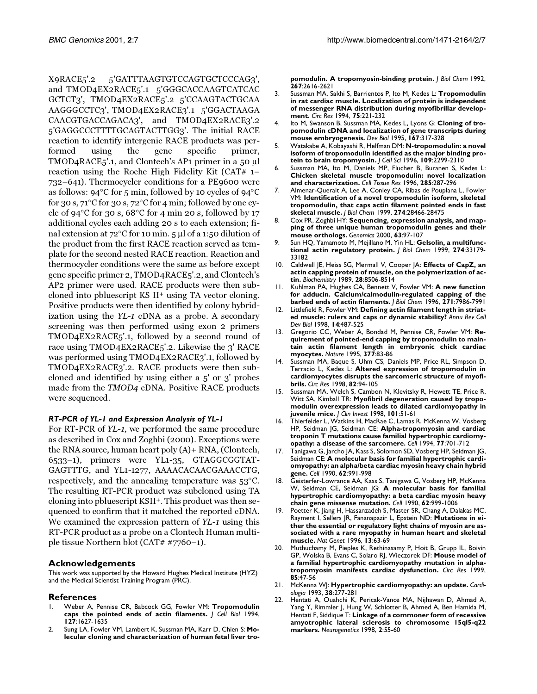X9RACE5'.2 5'GATTTAAGTGTCCAGTGCTCCCAG3', and TMOD4EX2RACE5'.1 5'GGGCACCAAGTCATCAC GCTCT3', TMOD4EX2RACE5'.2 5'CCAAGTACTGCAA AAGGGCCTC3', TMOD4EX2RACE3'.1 5'GGACTAAGA CAACGTGACCAGACA3', and TMOD4EX2RACE3'.2 5'GAGGCCCTTTTGCAGTACTTGG3'. The initial RACE reaction to identify intergenic RACE products was performed using the gene specific primer, TMOD4RACE5'.1, and Clontech's AP1 primer in a 50 µl reaction using the Roche High Fidelity Kit (CAT# 1– 732–641). Thermocycler conditions for a PE9600 were as follows: 94°C for 5 min, followed by 10 cycles of 94°C for 30 s, 71°C for 30 s, 72°C for 4 min; followed by one cycle of 94°C for 30 s, 68°C for 4 min 20 s, followed by 17 additional cycles each adding 20 s to each extension; final extension at 72°C for 10 min. 5 µl of a 1:50 dilution of the product from the first RACE reaction served as template for the second nested RACE reaction. Reaction and thermocycler conditions were the same as before except gene specific primer 2, TMOD4RACE5'.2, and Clontech's AP2 primer were used. RACE products were then subcloned into pbluescript KS II+ using TA vector cloning. Positive products were then identified by colony hybridization using the YL-1 cDNA as a probe. A secondary screening was then performed using exon 2 primers TMOD4EX2RACE5'.1, followed by a second round of race using TMOD4EX2RACE5'.2. Likewise the 3' RACE was performed using TMOD4EX2RACE3'.1, followed by TMOD4EX2RACE3'.2. RACE products were then subcloned and identified by using either a 5' or 3' probes made from the TMOD4 cDNA. Positive RACE products were sequenced.

# *RT-PCR of YL-1 and Expression Analysis of YL-1*

For RT-PCR of YL-1, we performed the same procedure as described in Cox and Zoghbi (2000). Exceptions were the RNA source, human heart poly (A)+ RNA, (Clontech, 6533–1), primers were YL1-35, GTAGGCGGTAT-GAGTTTG, and YL1-1277, AAAACACAACGAAACCTG, respectively, and the annealing temperature was 53°C. The resulting RT-PCR product was subcloned using TA cloning into pbluescript KSII+. This product was then sequenced to confirm that it matched the reported cDNA. We examined the expression pattern of YL-1 using this RT-PCR product as a probe on a Clontech Human multiple tissue Northern blot (CAT# #7760–1).

# **Acknowledgements**

This work was supported by the Howard Hughes Medical Institute (HYZ) and the Medical Scientist Training Program (PRC).

# **References**

- <span id="page-8-0"></span>1. [Weber A, Pennise CR, Babcock GG, Fowler VM:](http://www.ncbi.nlm.nih.gov/entrez/query.fcgi?cmd=Retrieve&db=PubMed&dopt=Abstract&list_uids=7798317) **Tropomodulin caps the pointed ends of actin filaments.** *J Cell Biol* 1994, **127**:1627-1635
- <span id="page-8-1"></span>2. [Sung LA, Fowler VM, Lambert K, Sussman MA, Karr D, Chien S:](http://www.ncbi.nlm.nih.gov/entrez/query.fcgi?cmd=Retrieve&db=PubMed&dopt=Abstract&list_uids=1370827) **Molecular cloning and characterization of human fetal liver tro-**

**pomodulin. A tropomyosin-binding protein.** *J Biol Chem* 1992, **267**:2616-2621

- 3. [Sussman MA, Sakhi S, Barrientos P, Ito M, Kedes L:](http://www.ncbi.nlm.nih.gov/entrez/query.fcgi?cmd=Retrieve&db=PubMed&dopt=Abstract&list_uids=8033336) **Tropomodulin in rat cardiac muscle. Localization of protein is independent of messenger RNA distribution during myofibrillar development.** *Circ Res* 1994, **75**:221-232
- 4. [Ito M, Swanson B, Sussman MA, Kedes L, Lyons G:](http://www.ncbi.nlm.nih.gov/entrez/query.fcgi?cmd=Retrieve&db=PubMed&dopt=Abstract&list_uids=7851652) **Cloning of tropomodulin cDNA and localization of gene transcripts during mouse embryogenesis.** *Dev Biol* 1995, **167**:317-328
- 5. [Watakabe A, Kobayashi R, Helfman DM:](http://www.ncbi.nlm.nih.gov/entrez/query.fcgi?cmd=Retrieve&db=PubMed&dopt=Abstract&list_uids=8886980) **N-tropomodulin: a novel isoform of tropomodulin identified as the major binding protein to brain tropomyosin.** *J Cell Sci* 1996, **109**:2299-2310
- 6. [Sussman MA, Ito M, Daniels MP, Flucher B, Buranen S, Kedes L:](http://www.ncbi.nlm.nih.gov/entrez/query.fcgi?cmd=Retrieve&db=PubMed&dopt=Abstract&list_uids=8766165) **Chicken skeletal muscle tropomodulin: novel localization and characterization.** *Cell Tissue Res* 1996, **285**:287-296
- 7. [Almenar-Queralt A, Lee A, Conley CA, Ribas de Pouplana L, Fowler](http://www.ncbi.nlm.nih.gov/entrez/query.fcgi?cmd=Retrieve&db=PubMed&dopt=Abstract&list_uids=10497209) [VM:](http://www.ncbi.nlm.nih.gov/entrez/query.fcgi?cmd=Retrieve&db=PubMed&dopt=Abstract&list_uids=10497209) **Identification of a novel tropomodulin isoform, skeletal tropomodulin, that caps actin filament pointed ends in fast skeletal muscle.** *J Biol Chem* 1999, **274**:28466-28475
- <span id="page-8-2"></span>8. [Cox PR, Zoghbi HY:](http://www.ncbi.nlm.nih.gov/entrez/query.fcgi?cmd=Retrieve&db=PubMed&dopt=Abstract&list_uids=10662549) **Sequencing, expression analysis, and mapping of three unique human tropomodulin genes and their mouse orthologs.** *Genomics* 2000, **63**:97-107
- <span id="page-8-3"></span>9. [Sun HQ, Yamamoto M, Mejillano M, Yin HL:](http://www.ncbi.nlm.nih.gov/entrez/query.fcgi?cmd=Retrieve&db=PubMed&dopt=Abstract&list_uids=10559185) **Gelsolin, a multifunctional actin regulatory protein.** *J Biol Chem* 1999, **274**:33179- 33182
- 10. [Caldwell JE, Heiss SG, Mermall V, Cooper JA:](http://www.ncbi.nlm.nih.gov/entrez/query.fcgi?cmd=Retrieve&db=PubMed&dopt=Abstract&list_uids=2557904) **Effects of CapZ, an actin capping protein of muscle, on the polymerization of actin.** *Biochemistry* 1989, **28**:8506-8514
- <span id="page-8-4"></span>11. [Kuhlman PA, Hughes CA, Bennett V, Fowler VM:](http://www.ncbi.nlm.nih.gov/entrez/query.fcgi?cmd=Retrieve&db=PubMed&dopt=Abstract&list_uids=8626479) **A new function for adducin. Calcium/calmodulin-regulated capping of the barbed ends of actin filaments.** *J Biol Chem* 1996, **271**:7986-7991
- <span id="page-8-5"></span>12. [Littlefield R, Fowler VM:](http://www.ncbi.nlm.nih.gov/entrez/query.fcgi?cmd=Retrieve&db=PubMed&dopt=Abstract&list_uids=9891791) **Defining actin filament length in striated muscle: rulers and caps or dynamic stability?** *Annu Rev Cell Dev Biol* 1998, **14**:487-525
- <span id="page-8-6"></span>13. [Gregorio CC, Weber A, Bondad M, Pennise CR, Fowler VM:](http://www.ncbi.nlm.nih.gov/entrez/query.fcgi?cmd=Retrieve&db=PubMed&dopt=Abstract&list_uids=7544875) **Requirement of pointed-end capping by tropomodulin to maintain actin filament length in embryonic chick cardiac myocytes.** *Nature* 1995, **377**:83-86
- <span id="page-8-7"></span>14. [Sussman MA, Baque S, Uhm CS, Daniels MP, Price RL, Simpson D,](http://www.ncbi.nlm.nih.gov/entrez/query.fcgi?cmd=Retrieve&db=PubMed&dopt=Abstract&list_uids=9440708) [Terracio L, Kedes L:](http://www.ncbi.nlm.nih.gov/entrez/query.fcgi?cmd=Retrieve&db=PubMed&dopt=Abstract&list_uids=9440708) **Altered expression of tropomodulin in cardiomyocytes disrupts the sarcomeric structure of myofibrils.** *Circ Res* 1998, **82**:94-105
- <span id="page-8-8"></span>15. [Sussman MA, Welch S, Cambon N, Klevitsky R, Hewett TE, Price R,](http://www.ncbi.nlm.nih.gov/entrez/query.fcgi?cmd=Retrieve&db=PubMed&dopt=Abstract&list_uids=9421465) [Witt SA, Kimball TR:](http://www.ncbi.nlm.nih.gov/entrez/query.fcgi?cmd=Retrieve&db=PubMed&dopt=Abstract&list_uids=9421465) **Myofibril degeneration caused by tropomodulin overexpression leads to dilated cardiomyopathy in juvenile mice.** *J Clin Invest* 1998, **101**:51-61
- <span id="page-8-9"></span>16. [Thierfelder L, Watkins H, MacRae C, Lamas R, McKenna W, Vosberg](http://www.ncbi.nlm.nih.gov/entrez/query.fcgi?cmd=Retrieve&db=PubMed&dopt=Abstract&list_uids=8205619) [HP, Seidman JG, Seidman CE:](http://www.ncbi.nlm.nih.gov/entrez/query.fcgi?cmd=Retrieve&db=PubMed&dopt=Abstract&list_uids=8205619) **Alpha-tropomyosin and cardiac troponin T mutations cause familial hypertrophic cardiomyopathy: a disease of the sarcomere.** *Cell* 1994, **77**:701-712
- 17. [Tanigawa G, Jarcho JA, Kass S, Solomon SD, Vosberg HP, Seidman JG,](http://www.ncbi.nlm.nih.gov/entrez/query.fcgi?cmd=Retrieve&db=PubMed&dopt=Abstract&list_uids=2144212) [Seidman CE:](http://www.ncbi.nlm.nih.gov/entrez/query.fcgi?cmd=Retrieve&db=PubMed&dopt=Abstract&list_uids=2144212) **A molecular basis for familial hypertrophic cardiomyopathy: an alpha/beta cardiac myosin heavy chain hybrid gene.** *Cell* 1990, **62**:991-998
- 18. [Geisterfer-Lowrance AA, Kass S, Tanigawa G, Vosberg HP, McKenna](http://www.ncbi.nlm.nih.gov/entrez/query.fcgi?cmd=Retrieve&db=PubMed&dopt=Abstract&list_uids=1975517) [W, Seidman CE, Seidman JG:](http://www.ncbi.nlm.nih.gov/entrez/query.fcgi?cmd=Retrieve&db=PubMed&dopt=Abstract&list_uids=1975517) **A molecular basis for familial hypertrophic cardiomyopathy: a beta cardiac myosin heavy chain gene missense mutation.** *Cell* 1990, **62**:999-1006
- <span id="page-8-10"></span>Poetter K, Jiang H, Hassanzadeh S, Master SR, Chang A, Dalakas MC, [Rayment I, Sellers JR, Fananapazir L, Epstein ND:](http://www.ncbi.nlm.nih.gov/entrez/query.fcgi?cmd=Retrieve&db=PubMed&dopt=Abstract&list_uids=8673105) **Mutations in either the essential or regulatory light chains of myosin are associated with a rare myopathy in human heart and skeletal muscle.** *Nat Genet* 1996, **13**:63-69
- <span id="page-8-11"></span>20. [Muthuchamy M, Pieples K, Rethinasamy P, Hoit B, Grupp IL, Boivin](http://www.ncbi.nlm.nih.gov/entrez/query.fcgi?cmd=Retrieve&db=PubMed&dopt=Abstract&list_uids=10400910) [GP, Wolska B, Evans C, Solaro RJ, Wieczorek DF:](http://www.ncbi.nlm.nih.gov/entrez/query.fcgi?cmd=Retrieve&db=PubMed&dopt=Abstract&list_uids=10400910) **Mouse model of a familial hypertrophic cardiomyopathy mutation in alphatropomyosin manifests cardiac dysfunction.** *Circ Res* 1999, **85**:47-56
- <span id="page-8-12"></span>21. [McKenna WJ:](http://www.ncbi.nlm.nih.gov/entrez/query.fcgi?cmd=Retrieve&db=PubMed&dopt=Abstract&list_uids=8020027) **Hypertrophic cardiomyopathy: an update.** *Cardiologia* 1993, **38**:277-281
- <span id="page-8-13"></span>22. [Hentati A, Ouahchi K, Pericak-Vance MA, Nijhawan D, Ahmad A,](http://www.ncbi.nlm.nih.gov/entrez/query.fcgi?cmd=Retrieve&db=PubMed&dopt=Abstract&list_uids=9933301) [Yang Y, Rimmler J, Hung W, Schlotter B, Ahmed A, Ben Hamida M,](http://www.ncbi.nlm.nih.gov/entrez/query.fcgi?cmd=Retrieve&db=PubMed&dopt=Abstract&list_uids=9933301) [Hentati F, Siddique T:](http://www.ncbi.nlm.nih.gov/entrez/query.fcgi?cmd=Retrieve&db=PubMed&dopt=Abstract&list_uids=9933301) **Linkage of a commoner form of recessive amyotrophic lateral sclerosis to chromosome 15ql5-q22 markers.** *Neurogenetics* 1998, **2**:55-60